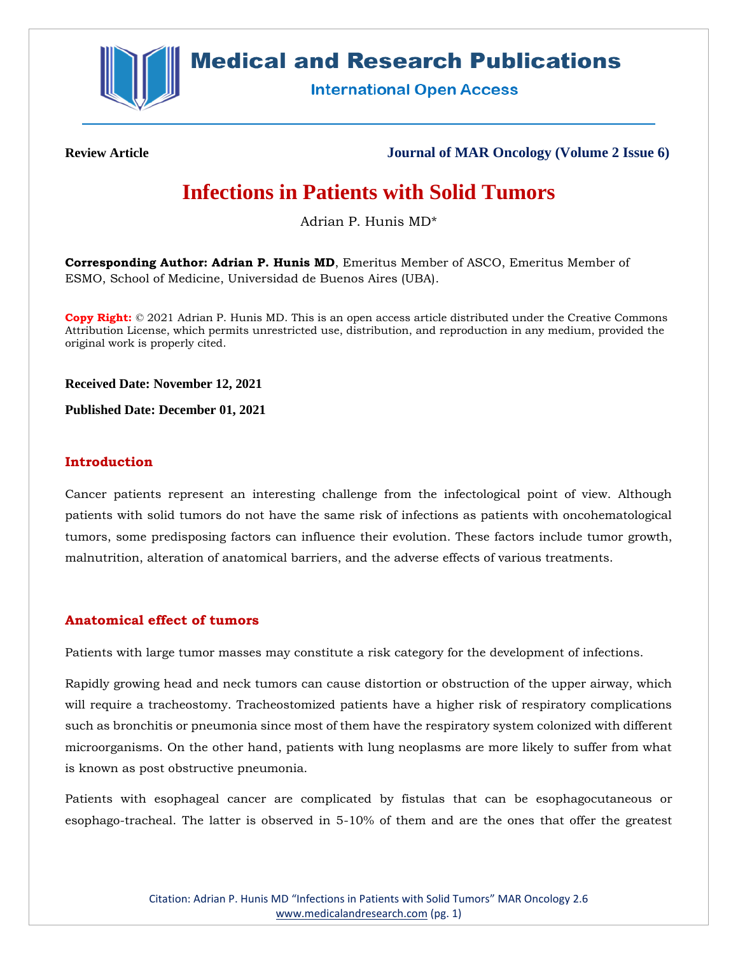

# **Medical and Research Publications**

**International Open Access** 

**Review Article Journal of MAR Oncology (Volume 2 Issue 6)**

# **Infections in Patients with Solid Tumors**

Adrian P. Hunis MD\*

**Corresponding Author: Adrian P. Hunis MD**, Emeritus Member of ASCO, Emeritus Member of ESMO, School of Medicine, Universidad de Buenos Aires (UBA).

**Copy Right:** © 2021 Adrian P. Hunis MD. This is an open access article distributed under the Creative Commons Attribution License, which permits unrestricted use, distribution, and reproduction in any medium, provided the original work is properly cited.

**Received Date: November 12, 2021**

**Published Date: December 01, 2021**

# **Introduction**

Cancer patients represent an interesting challenge from the infectological point of view. Although patients with solid tumors do not have the same risk of infections as patients with oncohematological tumors, some predisposing factors can influence their evolution. These factors include tumor growth, malnutrition, alteration of anatomical barriers, and the adverse effects of various treatments.

# **Anatomical effect of tumors**

Patients with large tumor masses may constitute a risk category for the development of infections.

Rapidly growing head and neck tumors can cause distortion or obstruction of the upper airway, which will require a tracheostomy. Tracheostomized patients have a higher risk of respiratory complications such as bronchitis or pneumonia since most of them have the respiratory system colonized with different microorganisms. On the other hand, patients with lung neoplasms are more likely to suffer from what is known as post obstructive pneumonia.

Patients with esophageal cancer are complicated by fistulas that can be esophagocutaneous or esophago-tracheal. The latter is observed in 5-10% of them and are the ones that offer the greatest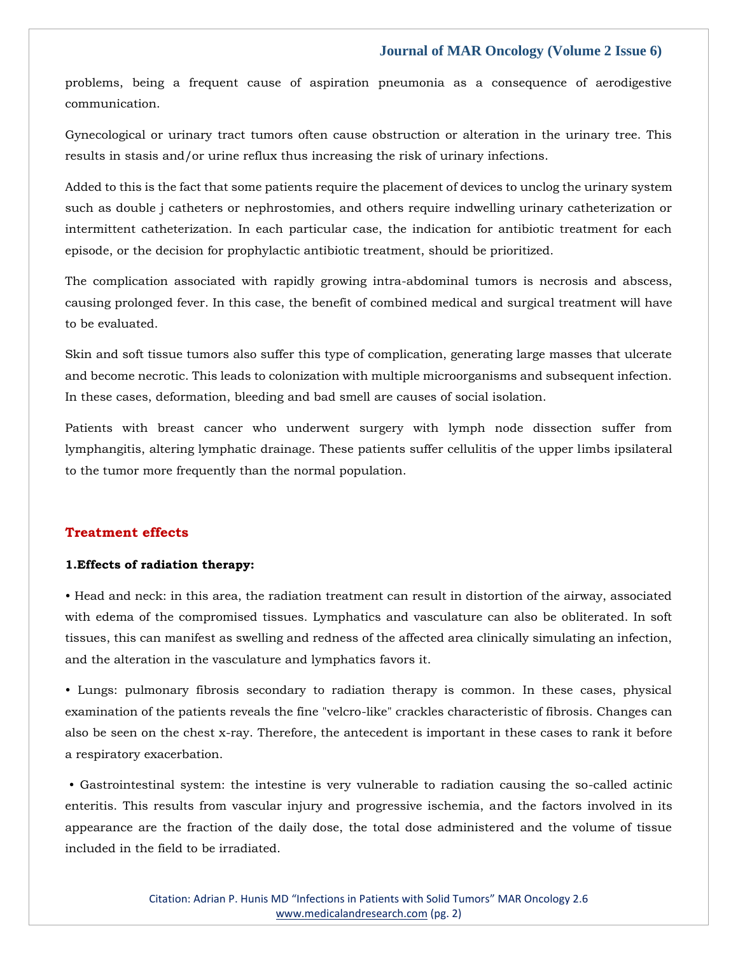problems, being a frequent cause of aspiration pneumonia as a consequence of aerodigestive communication.

Gynecological or urinary tract tumors often cause obstruction or alteration in the urinary tree. This results in stasis and/or urine reflux thus increasing the risk of urinary infections.

Added to this is the fact that some patients require the placement of devices to unclog the urinary system such as double j catheters or nephrostomies, and others require indwelling urinary catheterization or intermittent catheterization. In each particular case, the indication for antibiotic treatment for each episode, or the decision for prophylactic antibiotic treatment, should be prioritized.

The complication associated with rapidly growing intra-abdominal tumors is necrosis and abscess, causing prolonged fever. In this case, the benefit of combined medical and surgical treatment will have to be evaluated.

Skin and soft tissue tumors also suffer this type of complication, generating large masses that ulcerate and become necrotic. This leads to colonization with multiple microorganisms and subsequent infection. In these cases, deformation, bleeding and bad smell are causes of social isolation.

Patients with breast cancer who underwent surgery with lymph node dissection suffer from lymphangitis, altering lymphatic drainage. These patients suffer cellulitis of the upper limbs ipsilateral to the tumor more frequently than the normal population.

#### **Treatment effects**

#### **1.Effects of radiation therapy:**

• Head and neck: in this area, the radiation treatment can result in distortion of the airway, associated with edema of the compromised tissues. Lymphatics and vasculature can also be obliterated. In soft tissues, this can manifest as swelling and redness of the affected area clinically simulating an infection, and the alteration in the vasculature and lymphatics favors it.

• Lungs: pulmonary fibrosis secondary to radiation therapy is common. In these cases, physical examination of the patients reveals the fine "velcro-like" crackles characteristic of fibrosis. Changes can also be seen on the chest x-ray. Therefore, the antecedent is important in these cases to rank it before a respiratory exacerbation.

• Gastrointestinal system: the intestine is very vulnerable to radiation causing the so-called actinic enteritis. This results from vascular injury and progressive ischemia, and the factors involved in its appearance are the fraction of the daily dose, the total dose administered and the volume of tissue included in the field to be irradiated.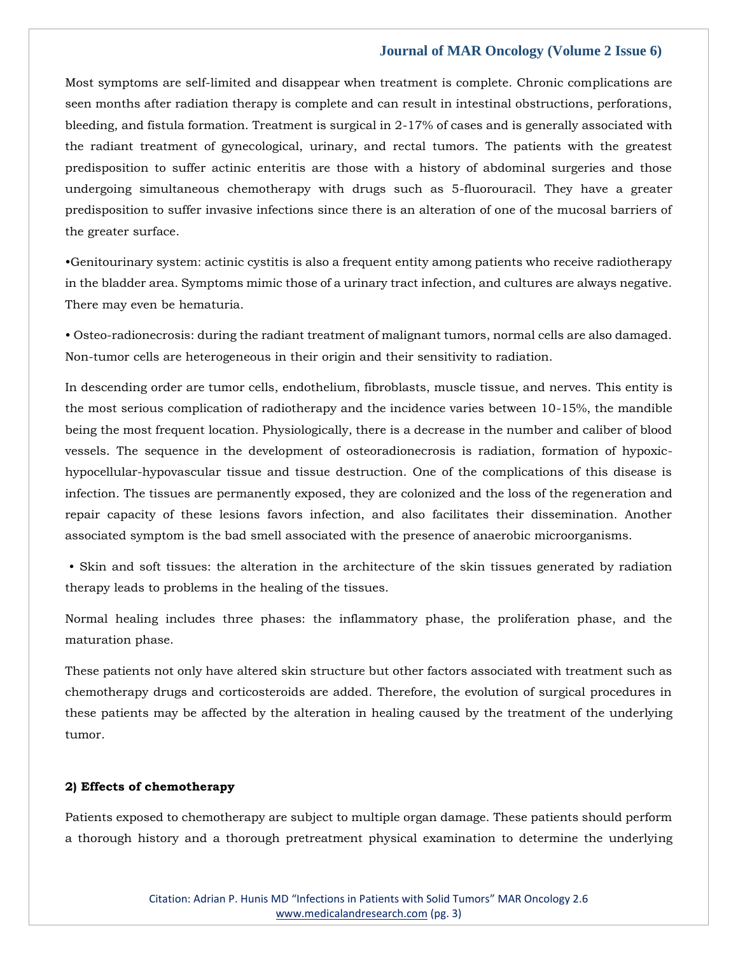Most symptoms are self-limited and disappear when treatment is complete. Chronic complications are seen months after radiation therapy is complete and can result in intestinal obstructions, perforations, bleeding, and fistula formation. Treatment is surgical in 2-17% of cases and is generally associated with the radiant treatment of gynecological, urinary, and rectal tumors. The patients with the greatest predisposition to suffer actinic enteritis are those with a history of abdominal surgeries and those undergoing simultaneous chemotherapy with drugs such as 5-fluorouracil. They have a greater predisposition to suffer invasive infections since there is an alteration of one of the mucosal barriers of the greater surface.

•Genitourinary system: actinic cystitis is also a frequent entity among patients who receive radiotherapy in the bladder area. Symptoms mimic those of a urinary tract infection, and cultures are always negative. There may even be hematuria.

• Osteo-radionecrosis: during the radiant treatment of malignant tumors, normal cells are also damaged. Non-tumor cells are heterogeneous in their origin and their sensitivity to radiation.

In descending order are tumor cells, endothelium, fibroblasts, muscle tissue, and nerves. This entity is the most serious complication of radiotherapy and the incidence varies between 10-15%, the mandible being the most frequent location. Physiologically, there is a decrease in the number and caliber of blood vessels. The sequence in the development of osteoradionecrosis is radiation, formation of hypoxichypocellular-hypovascular tissue and tissue destruction. One of the complications of this disease is infection. The tissues are permanently exposed, they are colonized and the loss of the regeneration and repair capacity of these lesions favors infection, and also facilitates their dissemination. Another associated symptom is the bad smell associated with the presence of anaerobic microorganisms.

• Skin and soft tissues: the alteration in the architecture of the skin tissues generated by radiation therapy leads to problems in the healing of the tissues.

Normal healing includes three phases: the inflammatory phase, the proliferation phase, and the maturation phase.

These patients not only have altered skin structure but other factors associated with treatment such as chemotherapy drugs and corticosteroids are added. Therefore, the evolution of surgical procedures in these patients may be affected by the alteration in healing caused by the treatment of the underlying tumor.

#### **2) Effects of chemotherapy**

Patients exposed to chemotherapy are subject to multiple organ damage. These patients should perform a thorough history and a thorough pretreatment physical examination to determine the underlying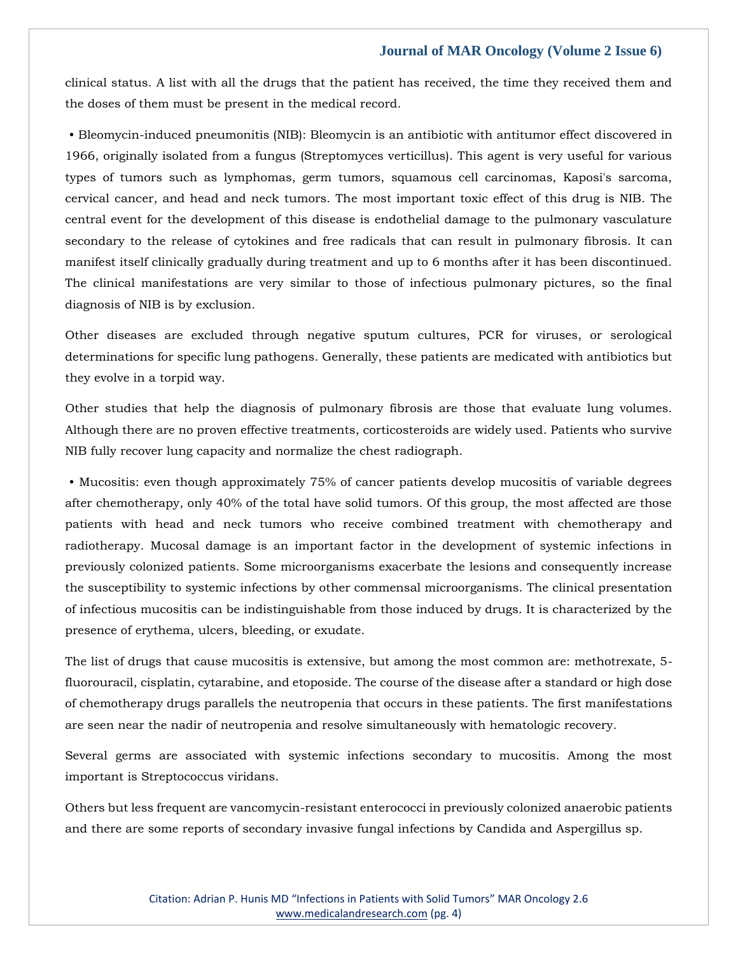clinical status. A list with all the drugs that the patient has received, the time they received them and the doses of them must be present in the medical record.

• Bleomycin-induced pneumonitis (NIB): Bleomycin is an antibiotic with antitumor effect discovered in 1966, originally isolated from a fungus (Streptomyces verticillus). This agent is very useful for various types of tumors such as lymphomas, germ tumors, squamous cell carcinomas, Kaposi's sarcoma, cervical cancer, and head and neck tumors. The most important toxic effect of this drug is NIB. The central event for the development of this disease is endothelial damage to the pulmonary vasculature secondary to the release of cytokines and free radicals that can result in pulmonary fibrosis. It can manifest itself clinically gradually during treatment and up to 6 months after it has been discontinued. The clinical manifestations are very similar to those of infectious pulmonary pictures, so the final diagnosis of NIB is by exclusion.

Other diseases are excluded through negative sputum cultures, PCR for viruses, or serological determinations for specific lung pathogens. Generally, these patients are medicated with antibiotics but they evolve in a torpid way.

Other studies that help the diagnosis of pulmonary fibrosis are those that evaluate lung volumes. Although there are no proven effective treatments, corticosteroids are widely used. Patients who survive NIB fully recover lung capacity and normalize the chest radiograph.

• Mucositis: even though approximately 75% of cancer patients develop mucositis of variable degrees after chemotherapy, only 40% of the total have solid tumors. Of this group, the most affected are those patients with head and neck tumors who receive combined treatment with chemotherapy and radiotherapy. Mucosal damage is an important factor in the development of systemic infections in previously colonized patients. Some microorganisms exacerbate the lesions and consequently increase the susceptibility to systemic infections by other commensal microorganisms. The clinical presentation of infectious mucositis can be indistinguishable from those induced by drugs. It is characterized by the presence of erythema, ulcers, bleeding, or exudate.

The list of drugs that cause mucositis is extensive, but among the most common are: methotrexate, 5 fluorouracil, cisplatin, cytarabine, and etoposide. The course of the disease after a standard or high dose of chemotherapy drugs parallels the neutropenia that occurs in these patients. The first manifestations are seen near the nadir of neutropenia and resolve simultaneously with hematologic recovery.

Several germs are associated with systemic infections secondary to mucositis. Among the most important is Streptococcus viridans.

Others but less frequent are vancomycin-resistant enterococci in previously colonized anaerobic patients and there are some reports of secondary invasive fungal infections by Candida and Aspergillus sp.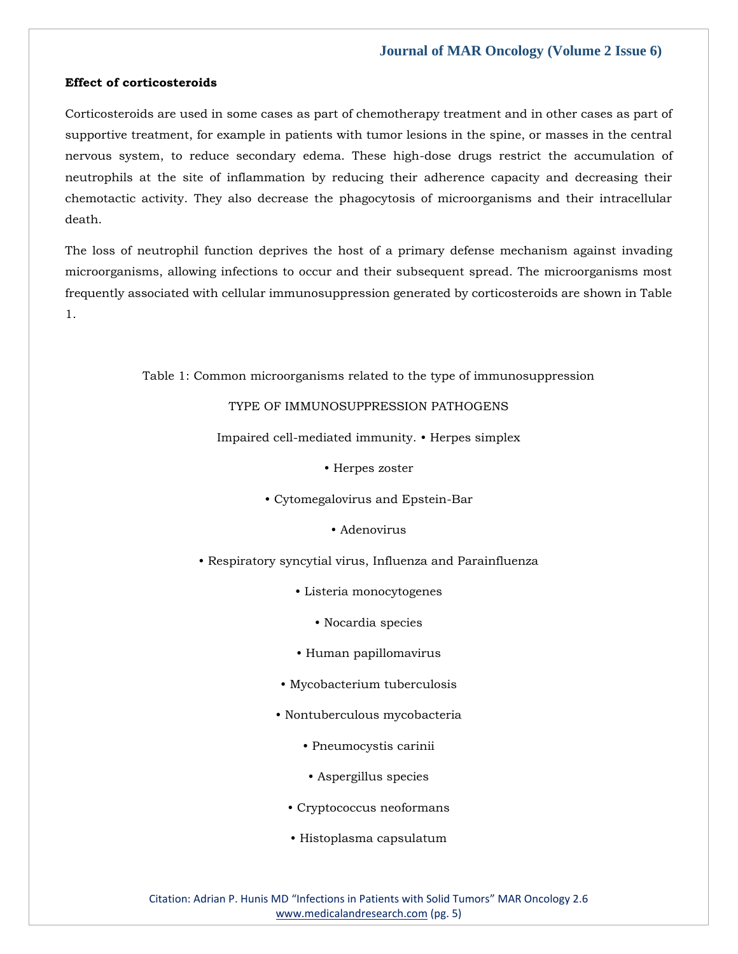#### **Effect of corticosteroids**

Corticosteroids are used in some cases as part of chemotherapy treatment and in other cases as part of supportive treatment, for example in patients with tumor lesions in the spine, or masses in the central nervous system, to reduce secondary edema. These high-dose drugs restrict the accumulation of neutrophils at the site of inflammation by reducing their adherence capacity and decreasing their chemotactic activity. They also decrease the phagocytosis of microorganisms and their intracellular death.

The loss of neutrophil function deprives the host of a primary defense mechanism against invading microorganisms, allowing infections to occur and their subsequent spread. The microorganisms most frequently associated with cellular immunosuppression generated by corticosteroids are shown in Table 1.

Table 1: Common microorganisms related to the type of immunosuppression

TYPE OF IMMUNOSUPPRESSION PATHOGENS

Impaired cell-mediated immunity. • Herpes simplex

• Herpes zoster

- Cytomegalovirus and Epstein-Bar
	- Adenovirus
- Respiratory syncytial virus, Influenza and Parainfluenza
	- Listeria monocytogenes
		- Nocardia species
	- Human papillomavirus
	- Mycobacterium tuberculosis
	- Nontuberculous mycobacteria
		- Pneumocystis carinii
		- Aspergillus species
		- Cryptococcus neoformans
		- Histoplasma capsulatum

Citation: Adrian P. Hunis MD "Infections in Patients with Solid Tumors" MAR Oncology 2.6 [www.medicalandresearch.com](http://www.medicalandresearch.com/) (pg. 5)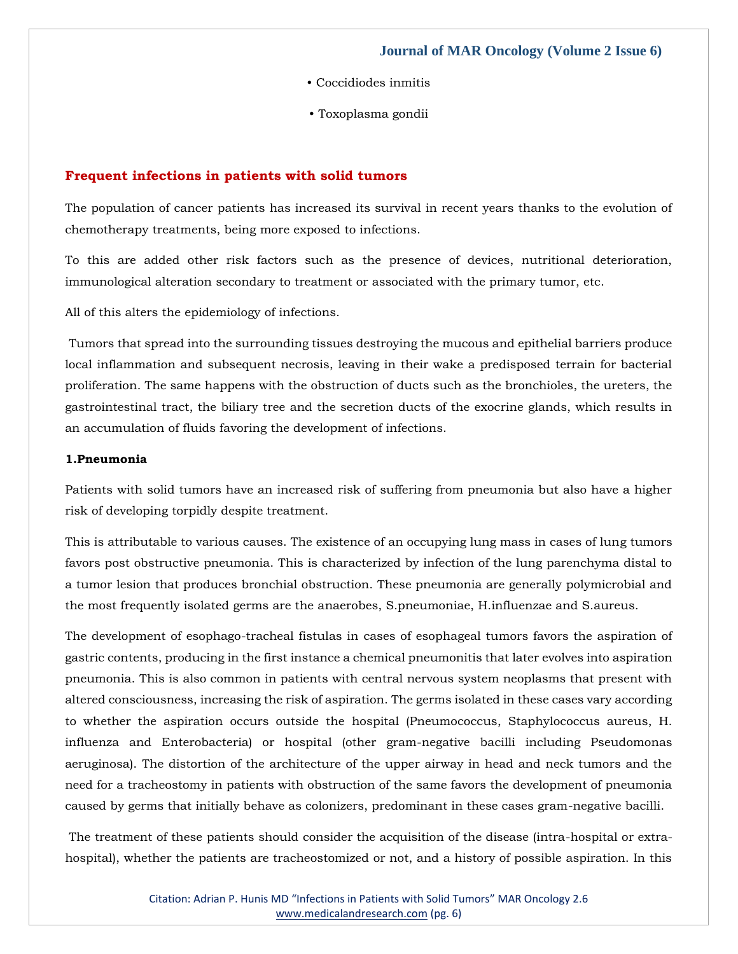- Coccidiodes inmitis
- Toxoplasma gondii

### **Frequent infections in patients with solid tumors**

The population of cancer patients has increased its survival in recent years thanks to the evolution of chemotherapy treatments, being more exposed to infections.

To this are added other risk factors such as the presence of devices, nutritional deterioration, immunological alteration secondary to treatment or associated with the primary tumor, etc.

All of this alters the epidemiology of infections.

Tumors that spread into the surrounding tissues destroying the mucous and epithelial barriers produce local inflammation and subsequent necrosis, leaving in their wake a predisposed terrain for bacterial proliferation. The same happens with the obstruction of ducts such as the bronchioles, the ureters, the gastrointestinal tract, the biliary tree and the secretion ducts of the exocrine glands, which results in an accumulation of fluids favoring the development of infections.

#### **1.Pneumonia**

Patients with solid tumors have an increased risk of suffering from pneumonia but also have a higher risk of developing torpidly despite treatment.

This is attributable to various causes. The existence of an occupying lung mass in cases of lung tumors favors post obstructive pneumonia. This is characterized by infection of the lung parenchyma distal to a tumor lesion that produces bronchial obstruction. These pneumonia are generally polymicrobial and the most frequently isolated germs are the anaerobes, S.pneumoniae, H.influenzae and S.aureus.

The development of esophago-tracheal fistulas in cases of esophageal tumors favors the aspiration of gastric contents, producing in the first instance a chemical pneumonitis that later evolves into aspiration pneumonia. This is also common in patients with central nervous system neoplasms that present with altered consciousness, increasing the risk of aspiration. The germs isolated in these cases vary according to whether the aspiration occurs outside the hospital (Pneumococcus, Staphylococcus aureus, H. influenza and Enterobacteria) or hospital (other gram-negative bacilli including Pseudomonas aeruginosa). The distortion of the architecture of the upper airway in head and neck tumors and the need for a tracheostomy in patients with obstruction of the same favors the development of pneumonia caused by germs that initially behave as colonizers, predominant in these cases gram-negative bacilli.

The treatment of these patients should consider the acquisition of the disease (intra-hospital or extrahospital), whether the patients are tracheostomized or not, and a history of possible aspiration. In this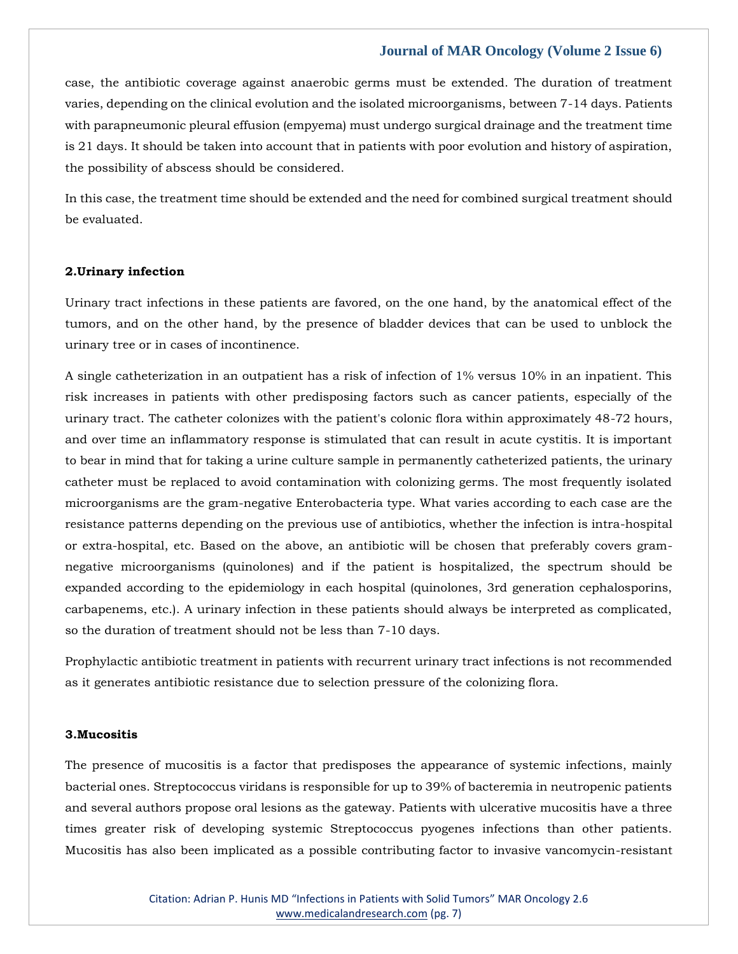case, the antibiotic coverage against anaerobic germs must be extended. The duration of treatment varies, depending on the clinical evolution and the isolated microorganisms, between 7-14 days. Patients with parapneumonic pleural effusion (empyema) must undergo surgical drainage and the treatment time is 21 days. It should be taken into account that in patients with poor evolution and history of aspiration, the possibility of abscess should be considered.

In this case, the treatment time should be extended and the need for combined surgical treatment should be evaluated.

## **2.Urinary infection**

Urinary tract infections in these patients are favored, on the one hand, by the anatomical effect of the tumors, and on the other hand, by the presence of bladder devices that can be used to unblock the urinary tree or in cases of incontinence.

A single catheterization in an outpatient has a risk of infection of 1% versus 10% in an inpatient. This risk increases in patients with other predisposing factors such as cancer patients, especially of the urinary tract. The catheter colonizes with the patient's colonic flora within approximately 48-72 hours, and over time an inflammatory response is stimulated that can result in acute cystitis. It is important to bear in mind that for taking a urine culture sample in permanently catheterized patients, the urinary catheter must be replaced to avoid contamination with colonizing germs. The most frequently isolated microorganisms are the gram-negative Enterobacteria type. What varies according to each case are the resistance patterns depending on the previous use of antibiotics, whether the infection is intra-hospital or extra-hospital, etc. Based on the above, an antibiotic will be chosen that preferably covers gramnegative microorganisms (quinolones) and if the patient is hospitalized, the spectrum should be expanded according to the epidemiology in each hospital (quinolones, 3rd generation cephalosporins, carbapenems, etc.). A urinary infection in these patients should always be interpreted as complicated, so the duration of treatment should not be less than 7-10 days.

Prophylactic antibiotic treatment in patients with recurrent urinary tract infections is not recommended as it generates antibiotic resistance due to selection pressure of the colonizing flora.

#### **3.Mucositis**

The presence of mucositis is a factor that predisposes the appearance of systemic infections, mainly bacterial ones. Streptococcus viridans is responsible for up to 39% of bacteremia in neutropenic patients and several authors propose oral lesions as the gateway. Patients with ulcerative mucositis have a three times greater risk of developing systemic Streptococcus pyogenes infections than other patients. Mucositis has also been implicated as a possible contributing factor to invasive vancomycin-resistant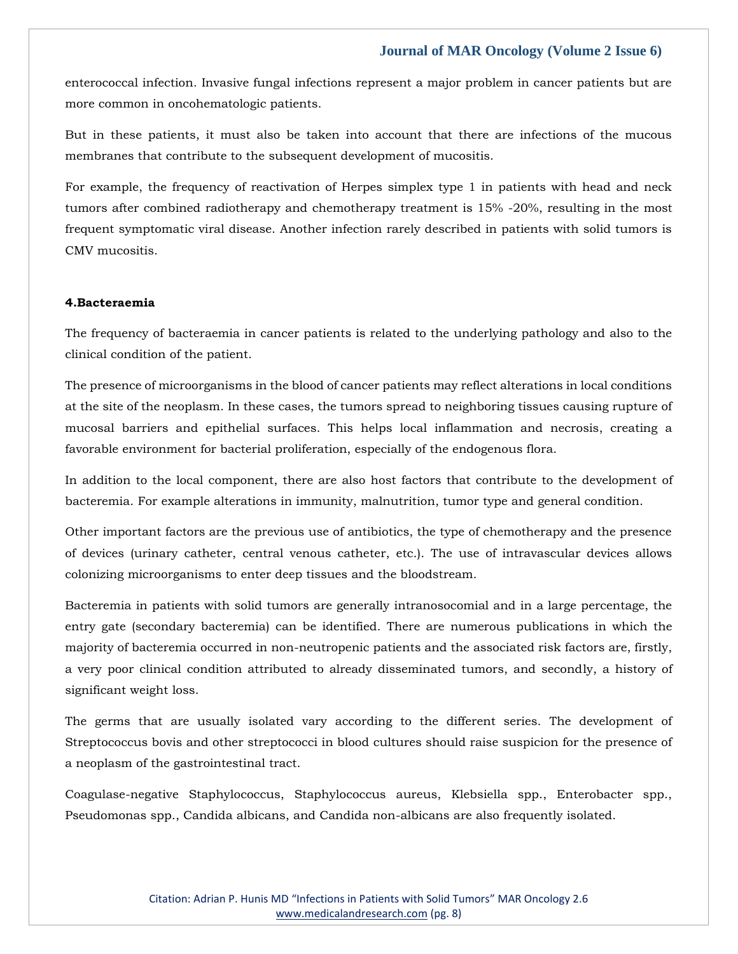enterococcal infection. Invasive fungal infections represent a major problem in cancer patients but are more common in oncohematologic patients.

But in these patients, it must also be taken into account that there are infections of the mucous membranes that contribute to the subsequent development of mucositis.

For example, the frequency of reactivation of Herpes simplex type 1 in patients with head and neck tumors after combined radiotherapy and chemotherapy treatment is 15% -20%, resulting in the most frequent symptomatic viral disease. Another infection rarely described in patients with solid tumors is CMV mucositis.

## **4.Bacteraemia**

The frequency of bacteraemia in cancer patients is related to the underlying pathology and also to the clinical condition of the patient.

The presence of microorganisms in the blood of cancer patients may reflect alterations in local conditions at the site of the neoplasm. In these cases, the tumors spread to neighboring tissues causing rupture of mucosal barriers and epithelial surfaces. This helps local inflammation and necrosis, creating a favorable environment for bacterial proliferation, especially of the endogenous flora.

In addition to the local component, there are also host factors that contribute to the development of bacteremia. For example alterations in immunity, malnutrition, tumor type and general condition.

Other important factors are the previous use of antibiotics, the type of chemotherapy and the presence of devices (urinary catheter, central venous catheter, etc.). The use of intravascular devices allows colonizing microorganisms to enter deep tissues and the bloodstream.

Bacteremia in patients with solid tumors are generally intranosocomial and in a large percentage, the entry gate (secondary bacteremia) can be identified. There are numerous publications in which the majority of bacteremia occurred in non-neutropenic patients and the associated risk factors are, firstly, a very poor clinical condition attributed to already disseminated tumors, and secondly, a history of significant weight loss.

The germs that are usually isolated vary according to the different series. The development of Streptococcus bovis and other streptococci in blood cultures should raise suspicion for the presence of a neoplasm of the gastrointestinal tract.

Coagulase-negative Staphylococcus, Staphylococcus aureus, Klebsiella spp., Enterobacter spp., Pseudomonas spp., Candida albicans, and Candida non-albicans are also frequently isolated.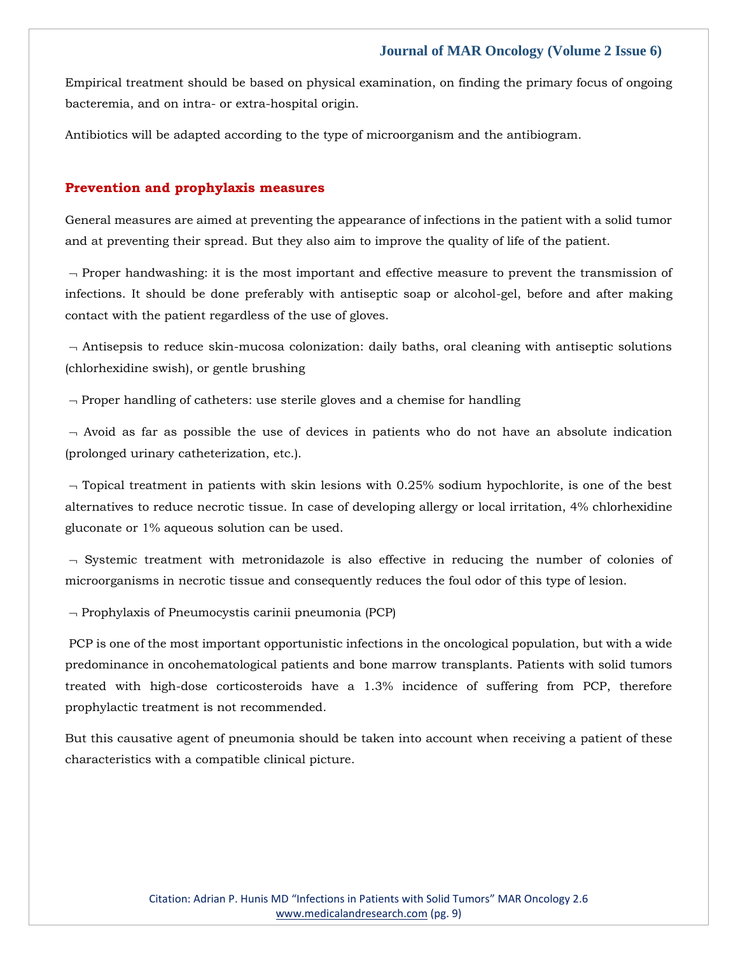Empirical treatment should be based on physical examination, on finding the primary focus of ongoing bacteremia, and on intra- or extra-hospital origin.

Antibiotics will be adapted according to the type of microorganism and the antibiogram.

#### **Prevention and prophylaxis measures**

General measures are aimed at preventing the appearance of infections in the patient with a solid tumor and at preventing their spread. But they also aim to improve the quality of life of the patient.

 $\neg$  Proper handwashing: it is the most important and effective measure to prevent the transmission of infections. It should be done preferably with antiseptic soap or alcohol-gel, before and after making contact with the patient regardless of the use of gloves.

 $\neg$  Antisepsis to reduce skin-mucosa colonization: daily baths, oral cleaning with antiseptic solutions (chlorhexidine swish), or gentle brushing

 $\neg$  Proper handling of catheters: use sterile gloves and a chemise for handling

 $\sim$  Avoid as far as possible the use of devices in patients who do not have an absolute indication (prolonged urinary catheterization, etc.).

 $\sim$  Topical treatment in patients with skin lesions with 0.25% sodium hypochlorite, is one of the best alternatives to reduce necrotic tissue. In case of developing allergy or local irritation, 4% chlorhexidine gluconate or 1% aqueous solution can be used.

 $\lnot$  Systemic treatment with metronidazole is also effective in reducing the number of colonies of microorganisms in necrotic tissue and consequently reduces the foul odor of this type of lesion.

 $\neg$  Prophylaxis of Pneumocystis carinii pneumonia (PCP)

PCP is one of the most important opportunistic infections in the oncological population, but with a wide predominance in oncohematological patients and bone marrow transplants. Patients with solid tumors treated with high-dose corticosteroids have a 1.3% incidence of suffering from PCP, therefore prophylactic treatment is not recommended.

But this causative agent of pneumonia should be taken into account when receiving a patient of these characteristics with a compatible clinical picture.